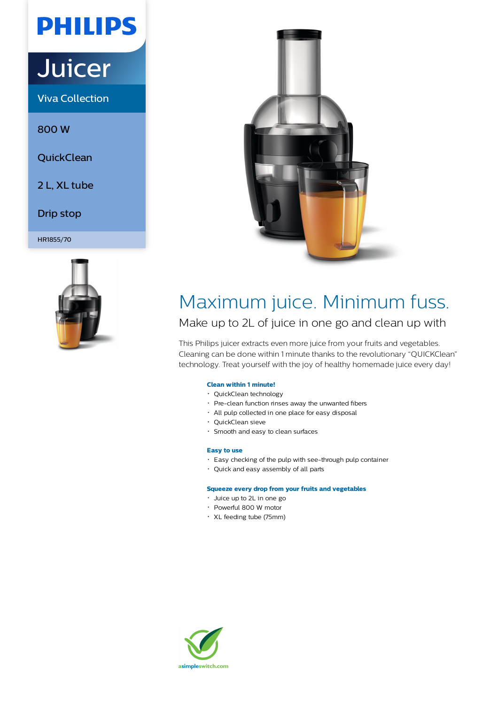# **PHILIPS**

# **Juicer**

Viva Collection

800 W

**QuickClean** 

2 L, XL tube

Drip stop

HR1855/70





# Maximum juice. Minimum fuss.

Make up to 2L of juice in one go and clean up with

This Philips juicer extracts even more juice from your fruits and vegetables. Cleaning can be done within 1 minute thanks to the revolutionary "QUICKClean" technology. Treat yourself with the joy of healthy homemade juice every day!

## **Clean within 1 minute!**

- QuickClean technology
- Pre-clean function rinses away the unwanted fibers
- All pulp collected in one place for easy disposal
- QuickClean sieve
- Smooth and easy to clean surfaces

### **Easy to use**

- Easy checking of the pulp with see-through pulp container
- Quick and easy assembly of all parts

#### **Squeeze every drop from your fruits and vegetables**

- Juice up to 2L in one go
- Powerful 800 W motor
- XL feeding tube (75mm)

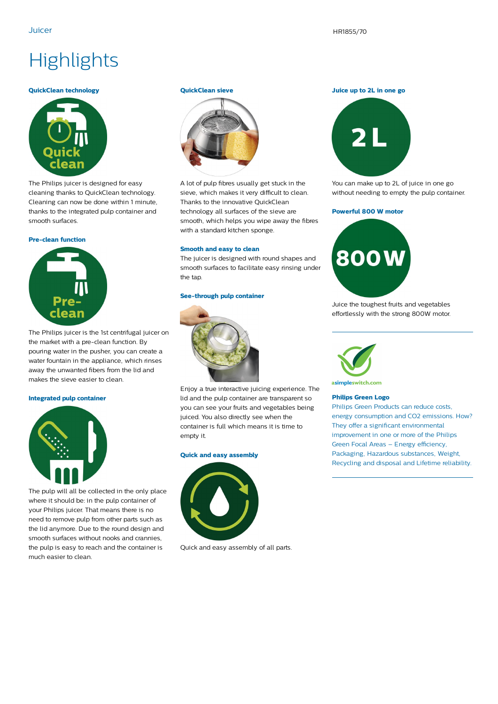Juicer HR1855/70

# **Highlights**

#### **QuickClean technology**



The Philips juicer is designed for easy cleaning thanks to QuickClean technology. Cleaning can now be done within 1 minute, thanks to the integrated pulp container and smooth surfaces.

#### **Pre-clean function**



The Philips juicer is the 1st centrifugal juicer on the market with a pre-clean function. By pouring water in the pusher, you can create a water fountain in the appliance, which rinses away the unwanted fibers from the lid and makes the sieve easier to clean.

#### **Integrated pulp container**



The pulp will all be collected in the only place where it should be: in the pulp container of your Philips juicer. That means there is no need to remove pulp from other parts such as the lid anymore. Due to the round design and smooth surfaces without nooks and crannies, the pulp is easy to reach and the container is much easier to clean.

#### **QuickClean sieve**



A lot of pulp fibres usually get stuck in the sieve, which makes it very difficult to clean. Thanks to the innovative QuickClean technology all surfaces of the sieve are smooth, which helps you wipe away the fibres with a standard kitchen sponge.

#### **Smooth and easy to clean**

The juicer is designed with round shapes and smooth surfaces to facilitate easy rinsing under the tap.

#### **See-through pulp container**



Enjoy a true interactive juicing experience. The lid and the pulp container are transparent so you can see your fruits and vegetables being juiced. You also directly see when the container is full which means it is time to empty it.

#### **Quick and easy assembly**



Quick and easy assembly of all parts.

#### **Juice up to 2L in one go**



You can make up to 2L of juice in one go without needing to empty the pulp container.

#### **Powerful 800 W motor**



Juice the toughest fruits and vegetables effortlessly with the strong 800W motor.



asimpleswitch.com

#### **Philips Green Logo**

Philips Green Products can reduce costs, energy consumption and CO2 emissions. How? They offer a significant environmental improvement in one or more of the Philips Green Focal Areas – Energy efficiency, Packaging, Hazardous substances, Weight, Recycling and disposal and Lifetime reliability.